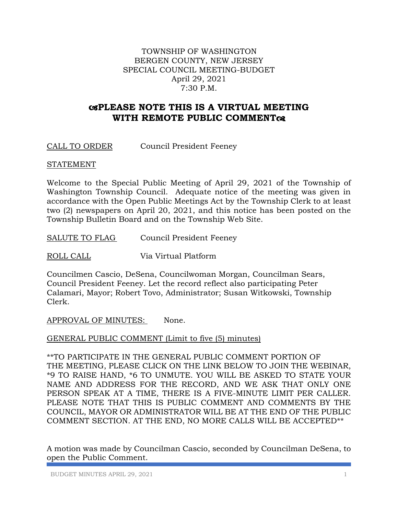#### TOWNSHIP OF WASHINGTON BERGEN COUNTY, NEW JERSEY SPECIAL COUNCIL MEETING-BUDGET April 29, 2021 7:30 P.M.

## **PLEASE NOTE THIS IS A VIRTUAL MEETING WITH REMOTE PUBLIC COMMENT**

CALL TO ORDER Council President Feeney

#### STATEMENT

Welcome to the Special Public Meeting of April 29, 2021 of the Township of Washington Township Council. Adequate notice of the meeting was given in accordance with the Open Public Meetings Act by the Township Clerk to at least two (2) newspapers on April 20, 2021, and this notice has been posted on the Township Bulletin Board and on the Township Web Site.

SALUTE TO FLAG Council President Feeney

ROLL CALL Via Virtual Platform

Councilmen Cascio, DeSena, Councilwoman Morgan, Councilman Sears, Council President Feeney. Let the record reflect also participating Peter Calamari, Mayor; Robert Tovo, Administrator; Susan Witkowski, Township Clerk.

APPROVAL OF MINUTES: None.

GENERAL PUBLIC COMMENT (Limit to five (5) minutes)

\*\*TO PARTICIPATE IN THE GENERAL PUBLIC COMMENT PORTION OF THE MEETING, PLEASE CLICK ON THE LINK BELOW TO JOIN THE WEBINAR, \*9 TO RAISE HAND, \*6 TO UNMUTE. YOU WILL BE ASKED TO STATE YOUR NAME AND ADDRESS FOR THE RECORD, AND WE ASK THAT ONLY ONE PERSON SPEAK AT A TIME, THERE IS A FIVE-MINUTE LIMIT PER CALLER. PLEASE NOTE THAT THIS IS PUBLIC COMMENT AND COMMENTS BY THE COUNCIL, MAYOR OR ADMINISTRATOR WILL BE AT THE END OF THE PUBLIC COMMENT SECTION. AT THE END, NO MORE CALLS WILL BE ACCEPTED\*\*

A motion was made by Councilman Cascio, seconded by Councilman DeSena, to open the Public Comment.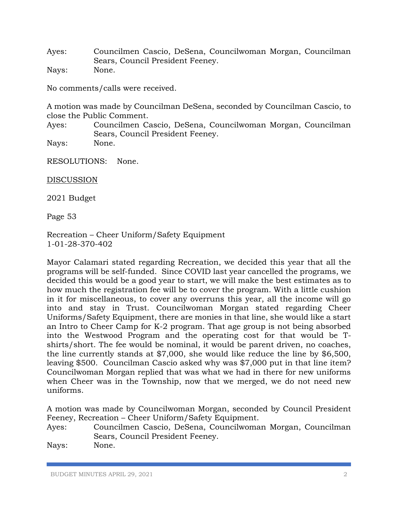Ayes: Councilmen Cascio, DeSena, Councilwoman Morgan, Councilman Sears, Council President Feeney. Nays: None.

No comments/calls were received.

A motion was made by Councilman DeSena, seconded by Councilman Cascio, to close the Public Comment.

Ayes: Councilmen Cascio, DeSena, Councilwoman Morgan, Councilman Sears, Council President Feeney.

Nays: None.

RESOLUTIONS: None.

DISCUSSION

2021 Budget

Page 53

Recreation – Cheer Uniform/Safety Equipment 1-01-28-370-402

Mayor Calamari stated regarding Recreation, we decided this year that all the programs will be self-funded. Since COVID last year cancelled the programs, we decided this would be a good year to start, we will make the best estimates as to how much the registration fee will be to cover the program. With a little cushion in it for miscellaneous, to cover any overruns this year, all the income will go into and stay in Trust. Councilwoman Morgan stated regarding Cheer Uniforms/Safety Equipment, there are monies in that line, she would like a start an Intro to Cheer Camp for K-2 program. That age group is not being absorbed into the Westwood Program and the operating cost for that would be Tshirts/short. The fee would be nominal, it would be parent driven, no coaches, the line currently stands at \$7,000, she would like reduce the line by \$6,500, leaving \$500. Councilman Cascio asked why was \$7,000 put in that line item? Councilwoman Morgan replied that was what we had in there for new uniforms when Cheer was in the Township, now that we merged, we do not need new uniforms.

A motion was made by Councilwoman Morgan, seconded by Council President Feeney, Recreation – Cheer Uniform/Safety Equipment.

Ayes: Councilmen Cascio, DeSena, Councilwoman Morgan, Councilman Sears, Council President Feeney.

Nays: None.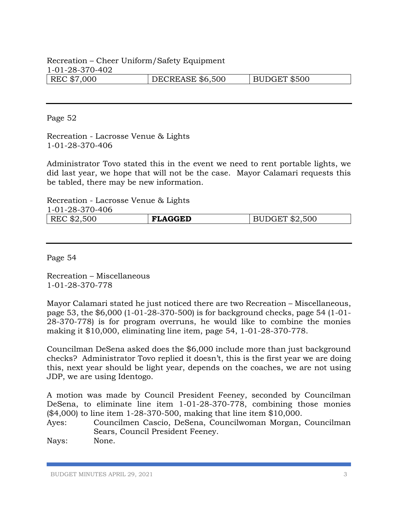# Recreation – Cheer Uniform/Safety Equipment 1-01-28-370-402

| REC \$7,000 | <b>DECREASE \$6,500</b> | BUDGET \$500 |
|-------------|-------------------------|--------------|
|             |                         |              |

Page 52

Recreation - Lacrosse Venue & Lights 1-01-28-370-406

Administrator Tovo stated this in the event we need to rent portable lights, we did last year, we hope that will not be the case. Mayor Calamari requests this be tabled, there may be new information.

Recreation - Lacrosse Venue & Lights

| 1-01-28-370-406 |                |               |
|-----------------|----------------|---------------|
| REC \$2,500     | <b>FLAGGED</b> | UDGET \$2,500 |

Page 54

Recreation – Miscellaneous 1-01-28-370-778

Mayor Calamari stated he just noticed there are two Recreation – Miscellaneous, page 53, the \$6,000 (1-01-28-370-500) is for background checks, page 54 (1-01- 28-370-778) is for program overruns, he would like to combine the monies making it \$10,000, eliminating line item, page 54, 1-01-28-370-778.

Councilman DeSena asked does the \$6,000 include more than just background checks? Administrator Tovo replied it doesn't, this is the first year we are doing this, next year should be light year, depends on the coaches, we are not using JDP, we are using Identogo.

A motion was made by Council President Feeney, seconded by Councilman DeSena, to eliminate line item 1-01-28-370-778, combining those monies (\$4,000) to line item 1-28-370-500, making that line item \$10,000.

Ayes: Councilmen Cascio, DeSena, Councilwoman Morgan, Councilman Sears, Council President Feeney.

Nays: None.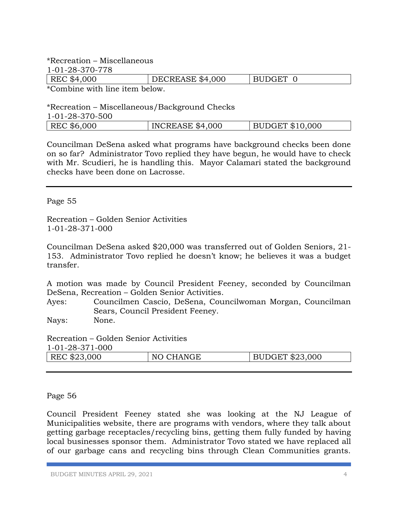\*Recreation – Miscellaneous

| 1-01-28-370-778 |                  |          |
|-----------------|------------------|----------|
| REC \$4,000     | DECREASE \$4,000 | BUDGET 0 |

\*Combine with line item below.

\*Recreation – Miscellaneous/Background Checks

| 1-01-28-370-500 |                  |                         |
|-----------------|------------------|-------------------------|
| REC \$6,000     | INCREASE \$4,000 | $\vert$ BUDGET \$10,000 |

Councilman DeSena asked what programs have background checks been done on so far? Administrator Tovo replied they have begun, he would have to check with Mr. Scudieri, he is handling this. Mayor Calamari stated the background checks have been done on Lacrosse.

Page 55

Recreation – Golden Senior Activities 1-01-28-371-000

Councilman DeSena asked \$20,000 was transferred out of Golden Seniors, 21- 153. Administrator Tovo replied he doesn't know; he believes it was a budget transfer.

A motion was made by Council President Feeney, seconded by Councilman DeSena, Recreation – Golden Senior Activities.

Ayes: Councilmen Cascio, DeSena, Councilwoman Morgan, Councilman Sears, Council President Feeney.

Nays: None.

Recreation – Golden Senior Activities

| 1-01-28-371-000 |
|-----------------|
|-----------------|

| REC \$23,000 | <b>CHANGE</b><br>NO. | <b>BUDGET \$23,000</b> |
|--------------|----------------------|------------------------|
|              |                      |                        |

Page 56

Council President Feeney stated she was looking at the NJ League of Municipalities website, there are programs with vendors, where they talk about getting garbage receptacles/recycling bins, getting them fully funded by having local businesses sponsor them. Administrator Tovo stated we have replaced all of our garbage cans and recycling bins through Clean Communities grants.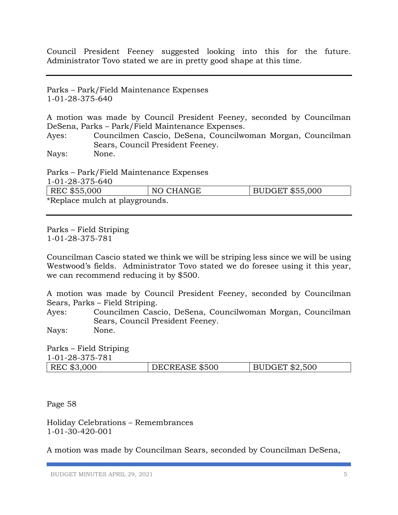Council President Feeney suggested looking into this for the future. Administrator Tovo stated we are in pretty good shape at this time.

Parks – Park/Field Maintenance Expenses 1-01-28-375-640

A motion was made by Council President Feeney, seconded by Councilman DeSena, Parks – Park/Field Maintenance Expenses.

Ayes: Councilmen Cascio, DeSena, Councilwoman Morgan, Councilman Sears, Council President Feeney.

Nays: None.

Parks – Park/Field Maintenance Expenses

| 1-01-28-375-640                |           |                        |
|--------------------------------|-----------|------------------------|
| REC \$55,000                   | NO CHANGE | <b>BUDGET \$55,000</b> |
| *Replace mulch at playgrounds. |           |                        |

Parks – Field Striping 1-01-28-375-781

Councilman Cascio stated we think we will be striping less since we will be using Westwood's fields. Administrator Tovo stated we do foresee using it this year, we can recommend reducing it by \$500.

A motion was made by Council President Feeney, seconded by Councilman Sears, Parks – Field Striping.

Ayes: Councilmen Cascio, DeSena, Councilwoman Morgan, Councilman Sears, Council President Feeney.

Nays: None.

Parks – Field Striping 1-01-28-375-781 | REC \$3,000 | DECREASE \$500 | BUDGET \$2,500

Page 58

Holiday Celebrations – Remembrances 1-01-30-420-001

A motion was made by Councilman Sears, seconded by Councilman DeSena,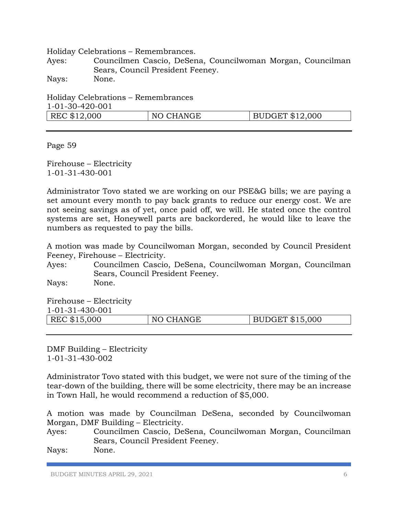Holiday Celebrations – Remembrances.

Ayes: Councilmen Cascio, DeSena, Councilwoman Morgan, Councilman Sears, Council President Feeney.

Nays: None.

Holiday Celebrations – Remembrances 1-01-30-420-001 REC \$12,000 NO CHANGE BUDGET \$12,000

Page 59

Firehouse – Electricity 1-01-31-430-001

Administrator Tovo stated we are working on our PSE&G bills; we are paying a set amount every month to pay back grants to reduce our energy cost. We are not seeing savings as of yet, once paid off, we will. He stated once the control systems are set, Honeywell parts are backordered, he would like to leave the numbers as requested to pay the bills.

A motion was made by Councilwoman Morgan, seconded by Council President Feeney, Firehouse – Electricity.

Ayes: Councilmen Cascio, DeSena, Councilwoman Morgan, Councilman Sears, Council President Feeney.

Nays: None.

Firehouse – Electricity 1-01-31-430-001

| 1013100001   |           |                        |
|--------------|-----------|------------------------|
| REC \$15,000 | NO CHANGE | <b>BUDGET \$15,000</b> |
|              |           |                        |

DMF Building – Electricity 1-01-31-430-002

Administrator Tovo stated with this budget, we were not sure of the timing of the tear-down of the building, there will be some electricity, there may be an increase in Town Hall, he would recommend a reduction of \$5,000.

A motion was made by Councilman DeSena, seconded by Councilwoman Morgan, DMF Building – Electricity.

Ayes: Councilmen Cascio, DeSena, Councilwoman Morgan, Councilman Sears, Council President Feeney.

Nays: None.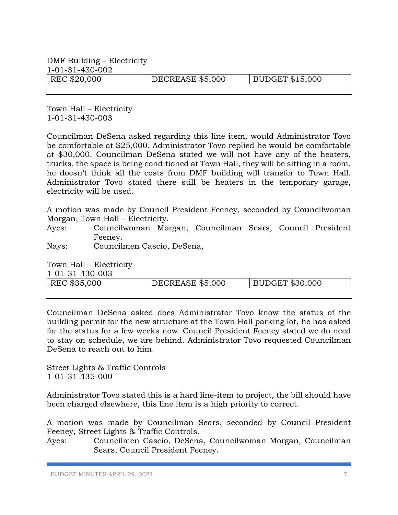DMF Building – Electricity 1-01-31-430-002 REC \$20,000 DECREASE \$5,000 BUDGET \$15,000

Town Hall – Electricity 1-01-31-430-003

Councilman DeSena asked regarding this line item, would Administrator Tovo be comfortable at \$25,000. Administrator Tovo replied he would be comfortable at \$30,000. Councilman DeSena stated we will not have any of the heaters, trucks, the space is being conditioned at Town Hall, they will be sitting in a room, he doesn't think all the costs from DMF building will transfer to Town Hall. Administrator Tovo stated there still be heaters in the temporary garage, electricity will be used.

A motion was made by Council President Feeney, seconded by Councilwoman Morgan, Town Hall – Electricity.

Ayes: Councilwoman Morgan, Councilman Sears, Council President Feeney.

Nays: Councilmen Cascio, DeSena,

Town Hall – Electricity 1-01-31-430-003 REC \$35,000 DECREASE \$5,000 BUDGET \$30,000

Councilman DeSena asked does Administrator Tovo know the status of the building permit for the new structure at the Town Hall parking lot, he has asked for the status for a few weeks now. Council President Feeney stated we do need to stay on schedule, we are behind. Administrator Tovo requested Councilman DeSena to reach out to him.

Street Lights & Traffic Controls 1-01-31-435-000

Administrator Tovo stated this is a hard line-item to project, the bill should have been charged elsewhere, this line item is a high priority to correct.

A motion was made by Councilman Sears, seconded by Council President Feeney, Street Lights & Traffic Controls.

Ayes: Councilmen Cascio, DeSena, Councilwoman Morgan, Councilman Sears, Council President Feeney.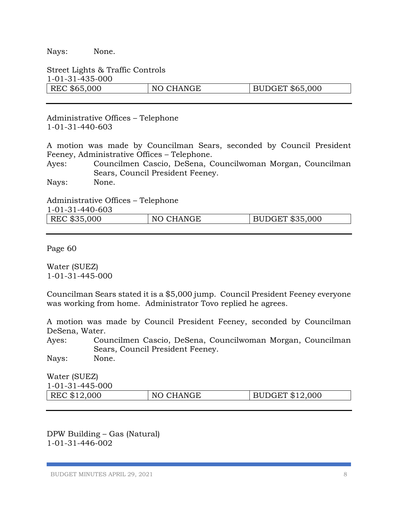Nays: None.

Street Lights & Traffic Controls 1-01-31-435-000 REC \$65,000 NO CHANGE BUDGET \$65,000

Administrative Offices – Telephone 1-01-31-440-603

A motion was made by Councilman Sears, seconded by Council President Feeney, Administrative Offices – Telephone.

Ayes: Councilmen Cascio, DeSena, Councilwoman Morgan, Councilman Sears, Council President Feeney.

Nays: None.

Administrative Offices – Telephone

| 1-01-31-440-603 |           |                        |
|-----------------|-----------|------------------------|
| REC \$35,000    | NO CHANGE | <b>BUDGET \$35,000</b> |

Page 60

Water (SUEZ) 1-01-31-445-000

Councilman Sears stated it is a \$5,000 jump. Council President Feeney everyone was working from home. Administrator Tovo replied he agrees.

A motion was made by Council President Feeney, seconded by Councilman DeSena, Water.

Ayes: Councilmen Cascio, DeSena, Councilwoman Morgan, Councilman Sears, Council President Feeney.

Nays: None.

Water (SUEZ) 1-01-31-445-000 REC \$12,000 NO CHANGE BUDGET \$12,000

DPW Building – Gas (Natural) 1-01-31-446-002

BUDGET MINUTES APRIL 29, 2021 8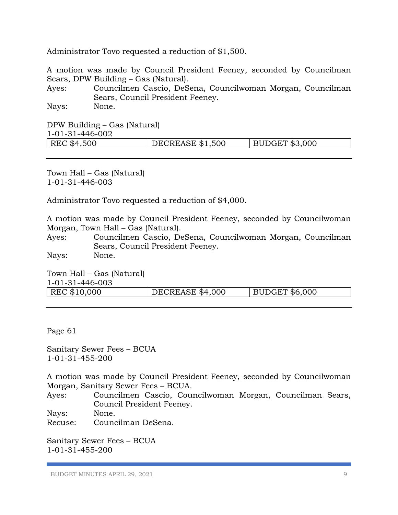Administrator Tovo requested a reduction of \$1,500.

A motion was made by Council President Feeney, seconded by Councilman Sears, DPW Building – Gas (Natural).

Ayes: Councilmen Cascio, DeSena, Councilwoman Morgan, Councilman Sears, Council President Feeney.

Nays: None.

DPW Building – Gas (Natural) 1-01-31-446-002

| LULLUTTTUUVA |                         |                       |
|--------------|-------------------------|-----------------------|
| REC \$4,500  | <b>DECREASE \$1,500</b> | <b>BUDGET \$3,000</b> |
|              |                         |                       |

Town Hall – Gas (Natural) 1-01-31-446-003

Administrator Tovo requested a reduction of \$4,000.

A motion was made by Council President Feeney, seconded by Councilwoman Morgan, Town Hall – Gas (Natural).

Ayes: Councilmen Cascio, DeSena, Councilwoman Morgan, Councilman Sears, Council President Feeney.

Nays: None.

Town Hall – Gas (Natural) 1-01-21-446-003

| REC \$10,000<br><b>BUDGET \$6,000</b><br>DECREASE \$4,000 |  |
|-----------------------------------------------------------|--|

Page 61

Sanitary Sewer Fees – BCUA 1-01-31-455-200

A motion was made by Council President Feeney, seconded by Councilwoman Morgan, Sanitary Sewer Fees – BCUA.

Ayes: Councilmen Cascio, Councilwoman Morgan, Councilman Sears, Council President Feeney.

Nays: None.

Recuse: Councilman DeSena.

Sanitary Sewer Fees – BCUA 1-01-31-455-200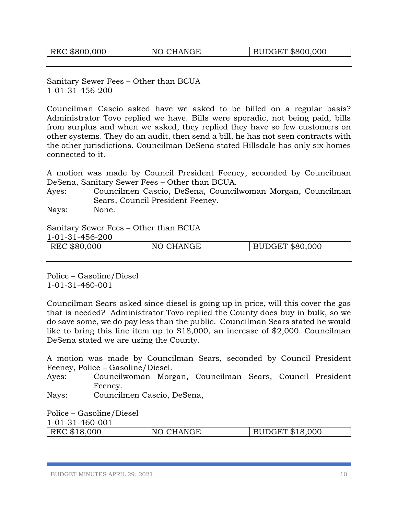Sanitary Sewer Fees – Other than BCUA 1-01-31-456-200

Councilman Cascio asked have we asked to be billed on a regular basis? Administrator Tovo replied we have. Bills were sporadic, not being paid, bills from surplus and when we asked, they replied they have so few customers on other systems. They do an audit, then send a bill, he has not seen contracts with the other jurisdictions. Councilman DeSena stated Hillsdale has only six homes connected to it.

A motion was made by Council President Feeney, seconded by Councilman DeSena, Sanitary Sewer Fees – Other than BCUA.

Ayes: Councilmen Cascio, DeSena, Councilwoman Morgan, Councilman Sears, Council President Feeney.

Nays: None.

Sanitary Sewer Fees – Other than BCUA

1-01-31-456-200

| REC<br>\$80,000 | <b>CHANGE</b><br>$N\subset$<br>◡ | <b>BUDGET \$80,000</b> |
|-----------------|----------------------------------|------------------------|
|                 |                                  |                        |

Police – Gasoline/Diesel 1-01-31-460-001

Councilman Sears asked since diesel is going up in price, will this cover the gas that is needed? Administrator Tovo replied the County does buy in bulk, so we do save some, we do pay less than the public. Councilman Sears stated he would like to bring this line item up to \$18,000, an increase of \$2,000. Councilman DeSena stated we are using the County.

A motion was made by Councilman Sears, seconded by Council President Feeney, Police – Gasoline/Diesel.

Ayes: Councilwoman Morgan, Councilman Sears, Council President Feeney.

Nays: Councilmen Cascio, DeSena,

Police – Gasoline/Diesel 1-01-31-460-001

|  | REC \$18,000 | NO CHANGE | BUDGET \$18,000 |
|--|--------------|-----------|-----------------|
|--|--------------|-----------|-----------------|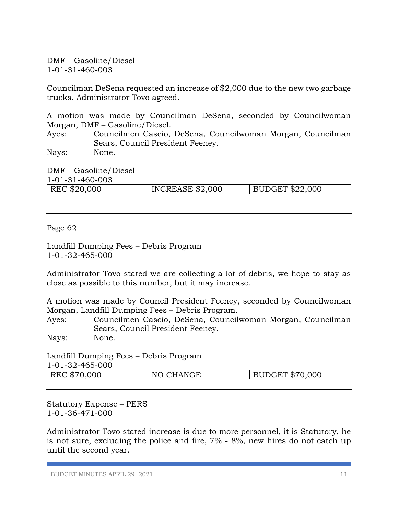DMF – Gasoline/Diesel 1-01-31-460-003

Councilman DeSena requested an increase of \$2,000 due to the new two garbage trucks. Administrator Tovo agreed.

A motion was made by Councilman DeSena, seconded by Councilwoman Morgan, DMF – Gasoline/Diesel.

Ayes: Councilmen Cascio, DeSena, Councilwoman Morgan, Councilman Sears, Council President Feeney.

Nays: None.

DMF – Gasoline/Diesel 1-01-31-460-003 | REC \$20,000 | INCREASE \$2,000 | BUDGET \$22,000

Page 62

Landfill Dumping Fees – Debris Program 1-01-32-465-000

Administrator Tovo stated we are collecting a lot of debris, we hope to stay as close as possible to this number, but it may increase.

A motion was made by Council President Feeney, seconded by Councilwoman Morgan, Landfill Dumping Fees – Debris Program.

Ayes: Councilmen Cascio, DeSena, Councilwoman Morgan, Councilman Sears, Council President Feeney.

Nays: None.

Landfill Dumping Fees – Debris Program  $1 - 01 - 32 - 465$   $000$ 

| REC \$70,000 | NO CHANGE | DGET \$70,000 |
|--------------|-----------|---------------|

Statutory Expense – PERS 1-01-36-471-000

Administrator Tovo stated increase is due to more personnel, it is Statutory, he is not sure, excluding the police and fire, 7% - 8%, new hires do not catch up until the second year.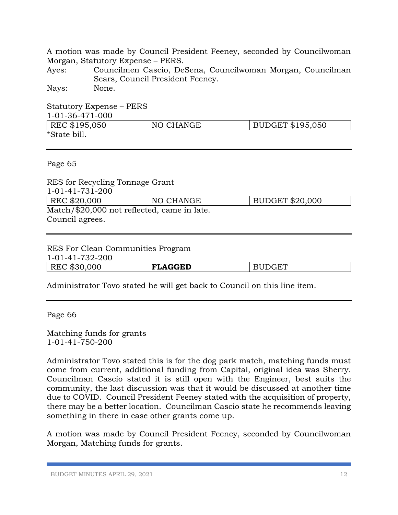A motion was made by Council President Feeney, seconded by Councilwoman Morgan, Statutory Expense – PERS.

Ayes: Councilmen Cascio, DeSena, Councilwoman Morgan, Councilman Sears, Council President Feeney.

Nays: None.

Statutory Expense – PERS 1-01-36-471-000 REC \$195,050 | NO CHANGE | BUDGET \$195,050 \*State bill.

Page 65

RES for Recycling Tonnage Grant 1-01-41-731-200 REC \$20,000 NO CHANGE BUDGET \$20,000 Match/\$20,000 not reflected, came in late. Council agrees.

RES For Clean Communities Program

| 1-01-41-732-200 |                |               |
|-----------------|----------------|---------------|
| REC \$30,000    | <b>FLAGGED</b> | <b>BUDGET</b> |

Administrator Tovo stated he will get back to Council on this line item.

Page 66

Matching funds for grants 1-01-41-750-200

Administrator Tovo stated this is for the dog park match, matching funds must come from current, additional funding from Capital, original idea was Sherry. Councilman Cascio stated it is still open with the Engineer, best suits the community, the last discussion was that it would be discussed at another time due to COVID. Council President Feeney stated with the acquisition of property, there may be a better location. Councilman Cascio state he recommends leaving something in there in case other grants come up.

A motion was made by Council President Feeney, seconded by Councilwoman Morgan, Matching funds for grants.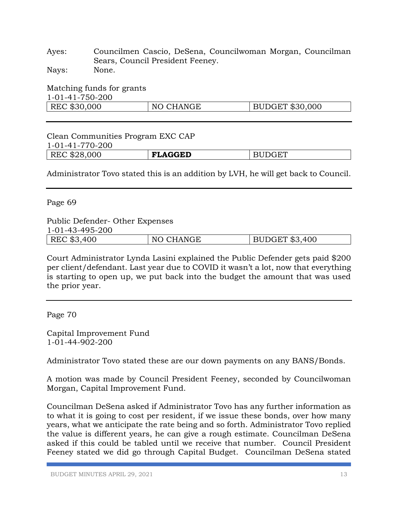Ayes: Councilmen Cascio, DeSena, Councilwoman Morgan, Councilman Sears, Council President Feeney.

Nays: None.

| Matching funds for grants<br>1-01-41-750-200 |           |                 |
|----------------------------------------------|-----------|-----------------|
| REC \$30,000                                 | NO CHANGE | BUDGET \$30,000 |

### Clean Communities Program EXC CAP 1-01-41-770-200 REC \$28,000 **FLAGGED** BUDGET

Administrator Tovo stated this is an addition by LVH, he will get back to Council.

Page 69

Public Defender- Other Expenses 1-01-43-495-200

| $\sqrt{2}$<br>$\mathbf{M} \cap \mathbf{D}$<br>400<br>R.<br>m<br>-NZ<br>.<br>$\mathbf{1}$<br>د ۱<br>www<br>$\sim$ |
|------------------------------------------------------------------------------------------------------------------|
|------------------------------------------------------------------------------------------------------------------|

Court Administrator Lynda Lasini explained the Public Defender gets paid \$200 per client/defendant. Last year due to COVID it wasn't a lot, now that everything is starting to open up, we put back into the budget the amount that was used the prior year.

Page 70

Capital Improvement Fund 1-01-44-902-200

Administrator Tovo stated these are our down payments on any BANS/Bonds.

A motion was made by Council President Feeney, seconded by Councilwoman Morgan, Capital Improvement Fund.

Councilman DeSena asked if Administrator Tovo has any further information as to what it is going to cost per resident, if we issue these bonds, over how many years, what we anticipate the rate being and so forth. Administrator Tovo replied the value is different years, he can give a rough estimate. Councilman DeSena asked if this could be tabled until we receive that number. Council President Feeney stated we did go through Capital Budget. Councilman DeSena stated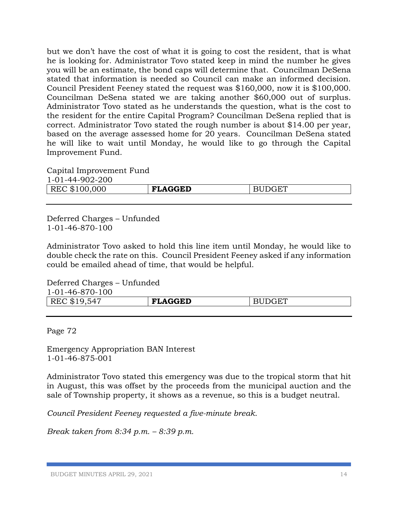but we don't have the cost of what it is going to cost the resident, that is what he is looking for. Administrator Tovo stated keep in mind the number he gives you will be an estimate, the bond caps will determine that. Councilman DeSena stated that information is needed so Council can make an informed decision. Council President Feeney stated the request was \$160,000, now it is \$100,000. Councilman DeSena stated we are taking another \$60,000 out of surplus. Administrator Tovo stated as he understands the question, what is the cost to the resident for the entire Capital Program? Councilman DeSena replied that is correct. Administrator Tovo stated the rough number is about \$14.00 per year, based on the average assessed home for  $20$  years. Councilman DeSena stated he will like to wait until Monday, he would like to go through the Capital Improvement Fund.

Capital Improvement Fund 1-01-44-902-200

| <b>`LAGGED</b><br>$\pi$<br>.000<br>$\blacksquare$<br>RE.<br>ጥ 1<br><i>IMM</i><br><b>ND</b><br>حسد |
|---------------------------------------------------------------------------------------------------|
|---------------------------------------------------------------------------------------------------|

Deferred Charges – Unfunded 1-01-46-870-100

Administrator Tovo asked to hold this line item until Monday, he would like to double check the rate on this. Council President Feeney asked if any information could be emailed ahead of time, that would be helpful.

Deferred Charges – Unfunded 1-01-46-870-100 REC \$19,547 **FLAGGED** BUDGET

Page 72

Emergency Appropriation BAN Interest 1-01-46-875-001

Administrator Tovo stated this emergency was due to the tropical storm that hit in August, this was offset by the proceeds from the municipal auction and the sale of Township property, it shows as a revenue, so this is a budget neutral.

*Council President Feeney requested a five-minute break.* 

*Break taken from 8:34 p.m. – 8:39 p.m.*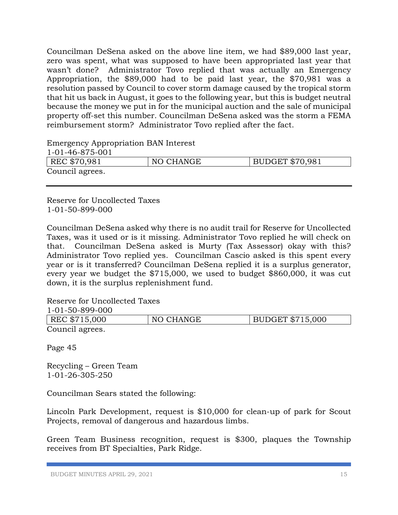Councilman DeSena asked on the above line item, we had \$89,000 last year, zero was spent, what was supposed to have been appropriated last year that wasn't done? Administrator Tovo replied that was actually an Emergency Appropriation, the \$89,000 had to be paid last year, the \$70,981 was a resolution passed by Council to cover storm damage caused by the tropical storm that hit us back in August, it goes to the following year, but this is budget neutral because the money we put in for the municipal auction and the sale of municipal property off-set this number. Councilman DeSena asked was the storm a FEMA reimbursement storm? Administrator Tovo replied after the fact.

Emergency Appropriation BAN Interest

| 1-01-46-875-001 |           |                        |
|-----------------|-----------|------------------------|
| REC \$70,981    | NO CHANGE | <b>BUDGET \$70,981</b> |
| Council agrees. |           |                        |

Reserve for Uncollected Taxes 1-01-50-899-000

Councilman DeSena asked why there is no audit trail for Reserve for Uncollected Taxes, was it used or is it missing. Administrator Tovo replied he will check on that. Councilman DeSena asked is Murty (Tax Assessor) okay with this? Administrator Tovo replied yes. Councilman Cascio asked is this spent every year or is it transferred? Councilman DeSena replied it is a surplus generator, every year we budget the \$715,000, we used to budget \$860,000, it was cut down, it is the surplus replenishment fund.

Reserve for Uncollected Taxes  $01-50.000.89$ 

| -1-01-50-899-000 |           |                         |
|------------------|-----------|-------------------------|
| REC \$715,000    | NO CHANGE | <b>BUDGET \$715,000</b> |
| Council agrees.  |           |                         |

Page 45

Recycling – Green Team 1-01-26-305-250

Councilman Sears stated the following:

Lincoln Park Development, request is \$10,000 for clean-up of park for Scout Projects, removal of dangerous and hazardous limbs.

Green Team Business recognition, request is \$300, plaques the Township receives from BT Specialties, Park Ridge.

BUDGET MINUTES APRIL 29, 2021 15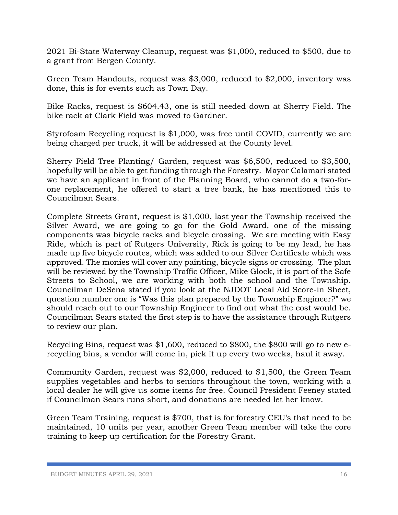2021 Bi-State Waterway Cleanup, request was \$1,000, reduced to \$500, due to a grant from Bergen County.

Green Team Handouts, request was \$3,000, reduced to \$2,000, inventory was done, this is for events such as Town Day.

Bike Racks, request is \$604.43, one is still needed down at Sherry Field. The bike rack at Clark Field was moved to Gardner.

Styrofoam Recycling request is \$1,000, was free until COVID, currently we are being charged per truck, it will be addressed at the County level.

Sherry Field Tree Planting/ Garden, request was \$6,500, reduced to \$3,500, hopefully will be able to get funding through the Forestry. Mayor Calamari stated we have an applicant in front of the Planning Board, who cannot do a two-forone replacement, he offered to start a tree bank, he has mentioned this to Councilman Sears.

Complete Streets Grant, request is \$1,000, last year the Township received the Silver Award, we are going to go for the Gold Award, one of the missing components was bicycle racks and bicycle crossing. We are meeting with Easy Ride, which is part of Rutgers University, Rick is going to be my lead, he has made up five bicycle routes, which was added to our Silver Certificate which was approved. The monies will cover any painting, bicycle signs or crossing. The plan will be reviewed by the Township Traffic Officer, Mike Glock, it is part of the Safe Streets to School, we are working with both the school and the Township. Councilman DeSena stated if you look at the NJDOT Local Aid Score-in Sheet, question number one is "Was this plan prepared by the Township Engineer?" we should reach out to our Township Engineer to find out what the cost would be. Councilman Sears stated the first step is to have the assistance through Rutgers to review our plan.

Recycling Bins, request was \$1,600, reduced to \$800, the \$800 will go to new erecycling bins, a vendor will come in, pick it up every two weeks, haul it away.

Community Garden, request was \$2,000, reduced to \$1,500, the Green Team supplies vegetables and herbs to seniors throughout the town, working with a local dealer he will give us some items for free. Council President Feeney stated if Councilman Sears runs short, and donations are needed let her know.

Green Team Training, request is \$700, that is for forestry CEU's that need to be maintained, 10 units per year, another Green Team member will take the core training to keep up certification for the Forestry Grant.